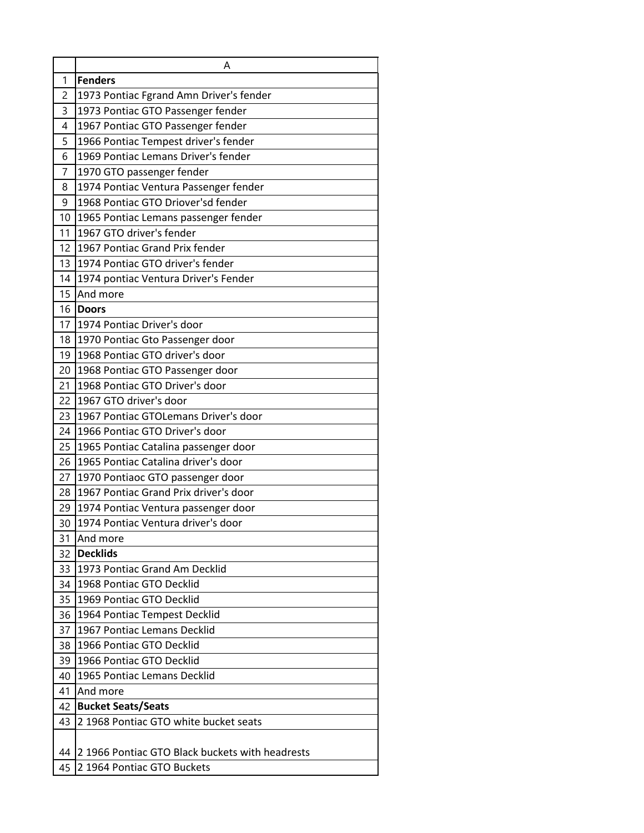|                       | Α                                                                         |
|-----------------------|---------------------------------------------------------------------------|
| 1                     | <b>Fenders</b>                                                            |
| 2                     | 1973 Pontiac Fgrand Amn Driver's fender                                   |
| 3                     | 1973 Pontiac GTO Passenger fender                                         |
| 4                     | 1967 Pontiac GTO Passenger fender                                         |
| 5                     | 1966 Pontiac Tempest driver's fender                                      |
| 6                     | 1969 Pontiac Lemans Driver's fender                                       |
| $\overline{7}$        | 1970 GTO passenger fender                                                 |
| 8                     | 1974 Pontiac Ventura Passenger fender                                     |
| 9                     | 1968 Pontiac GTO Driover'sd fender                                        |
| 10                    | 1965 Pontiac Lemans passenger fender                                      |
| 11                    | 1967 GTO driver's fender                                                  |
| 12                    | 1967 Pontiac Grand Prix fender                                            |
| 13                    | 1974 Pontiac GTO driver's fender                                          |
| 14                    | 1974 pontiac Ventura Driver's Fender                                      |
| 15                    | And more                                                                  |
| 16                    | <b>Doors</b>                                                              |
| 17 <sup>1</sup>       | 1974 Pontiac Driver's door                                                |
| 18                    | 1970 Pontiac Gto Passenger door                                           |
| 19                    | 1968 Pontiac GTO driver's door                                            |
| 20                    | 1968 Pontiac GTO Passenger door                                           |
| 21                    | 1968 Pontiac GTO Driver's door                                            |
| 22                    | 1967 GTO driver's door                                                    |
| 23                    | 1967 Pontiac GTOLemans Driver's door                                      |
| 24                    | 1966 Pontiac GTO Driver's door                                            |
| 25                    | 1965 Pontiac Catalina passenger door                                      |
| 26                    | 1965 Pontiac Catalina driver's door                                       |
| 27                    | 1970 Pontiaoc GTO passenger door                                          |
| 28                    | 1967 Pontiac Grand Prix driver's door                                     |
| 29<br>30 <sub>1</sub> | 1974 Pontiac Ventura passenger door<br>1974 Pontiac Ventura driver's door |
|                       | And more                                                                  |
| 31<br>32              | <b>Decklids</b>                                                           |
| 33                    | 1973 Pontiac Grand Am Decklid                                             |
| 34                    | 1968 Pontiac GTO Decklid                                                  |
| 35                    | 1969 Pontiac GTO Decklid                                                  |
| 36                    | 1964 Pontiac Tempest Decklid                                              |
| 37                    | 1967 Pontiac Lemans Decklid                                               |
| 38                    | 1966 Pontiac GTO Decklid                                                  |
| 39                    | 1966 Pontiac GTO Decklid                                                  |
| 40                    | 1965 Pontiac Lemans Decklid                                               |
| 41                    | And more                                                                  |
| 42                    | <b>Bucket Seats/Seats</b>                                                 |
| 43                    | 2 1968 Pontiac GTO white bucket seats                                     |
|                       |                                                                           |
| 44                    | 21966 Pontiac GTO Black buckets with headrests                            |
| 45                    | 2 1964 Pontiac GTO Buckets                                                |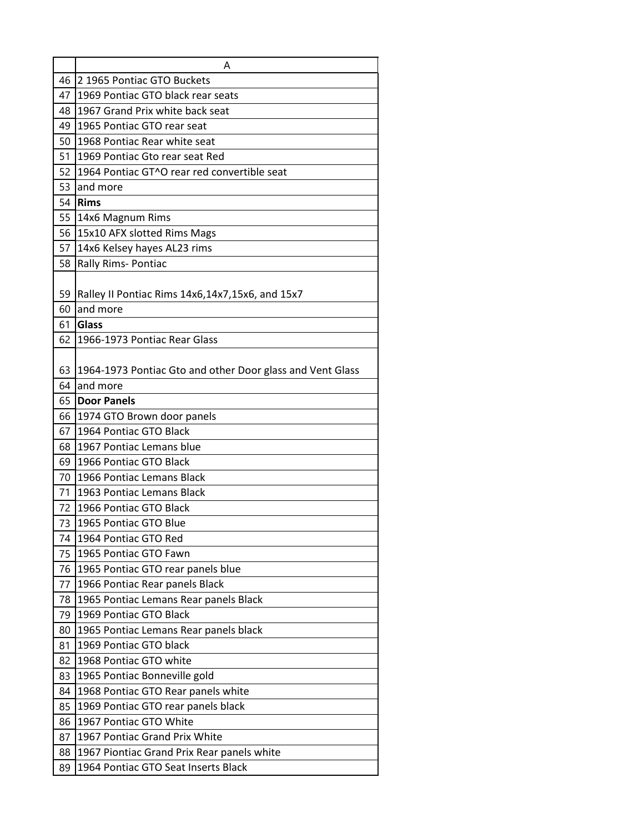|                 | Α                                                         |
|-----------------|-----------------------------------------------------------|
| 46              | 2 1965 Pontiac GTO Buckets                                |
| 47              | 1969 Pontiac GTO black rear seats                         |
| 48              | 1967 Grand Prix white back seat                           |
| 49              | 1965 Pontiac GTO rear seat                                |
| 50              | 1968 Pontiac Rear white seat                              |
| 51              | 1969 Pontiac Gto rear seat Red                            |
|                 | 52 1964 Pontiac GT^O rear red convertible seat            |
| 53              | and more                                                  |
| 54              | <b>Rims</b>                                               |
| 55              | 14x6 Magnum Rims                                          |
|                 | 56 15x10 AFX slotted Rims Mags                            |
| 57 <sup>1</sup> | 14x6 Kelsey hayes AL23 rims                               |
| 58              | Rally Rims- Pontiac                                       |
| 59              | Ralley II Pontiac Rims 14x6,14x7,15x6, and 15x7           |
| 60              | and more                                                  |
| 61              | Glass                                                     |
| 62              | 1966-1973 Pontiac Rear Glass                              |
| 63              | 1964-1973 Pontiac Gto and other Door glass and Vent Glass |
| 64              | and more                                                  |
| 65              | <b>Door Panels</b>                                        |
| 66              | 1974 GTO Brown door panels                                |
| 67              | 1964 Pontiac GTO Black                                    |
| 68              | 1967 Pontiac Lemans blue                                  |
| 69              | 1966 Pontiac GTO Black                                    |
| 70              | 1966 Pontiac Lemans Black                                 |
| 71              | 1963 Pontiac Lemans Black                                 |
| 72              | 1966 Pontiac GTO Black                                    |
| 73              | 1965 Pontiac GTO Blue                                     |
| 74              | 1964 Pontiac GTO Red                                      |
| 75              | 1965 Pontiac GTO Fawn                                     |
| 76              | 1965 Pontiac GTO rear panels blue                         |
| 77              | 1966 Pontiac Rear panels Black                            |
| 78              | 1965 Pontiac Lemans Rear panels Black                     |
| 79              | 1969 Pontiac GTO Black                                    |
| 80              | 1965 Pontiac Lemans Rear panels black                     |
| 81              | 1969 Pontiac GTO black                                    |
| 82              | 1968 Pontiac GTO white                                    |
| 83              | 1965 Pontiac Bonneville gold                              |
| 84              | 1968 Pontiac GTO Rear panels white                        |
| 85              | 1969 Pontiac GTO rear panels black                        |
| 86              | 1967 Pontiac GTO White                                    |
| 87              | 1967 Pontiac Grand Prix White                             |
| 88              | 1967 Piontiac Grand Prix Rear panels white                |
| 89              | 1964 Pontiac GTO Seat Inserts Black                       |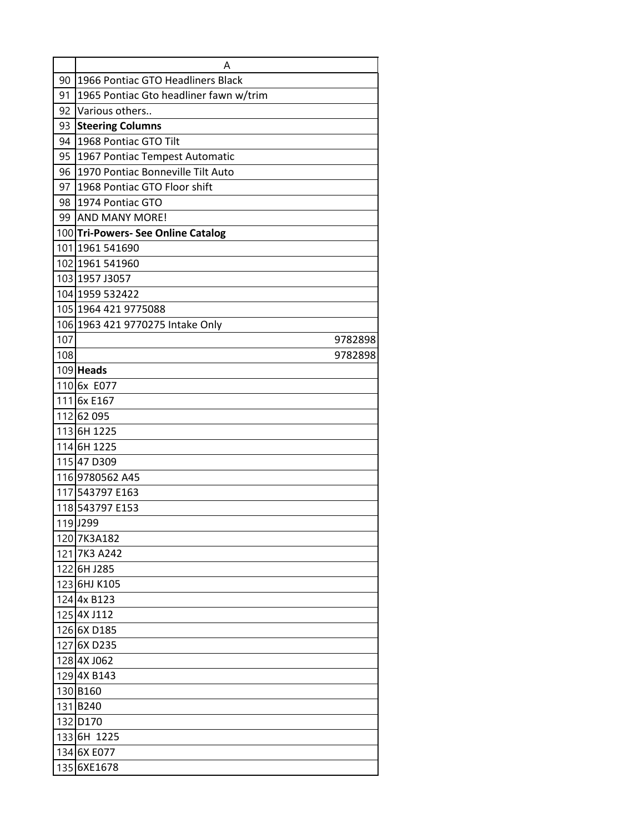|     | Α                                      |
|-----|----------------------------------------|
| 90  | 1966 Pontiac GTO Headliners Black      |
| 91  | 1965 Pontiac Gto headliner fawn w/trim |
| 92  | Various others                         |
| 93  | <b>Steering Columns</b>                |
| 94  | 1968 Pontiac GTO Tilt                  |
| 95  | 1967 Pontiac Tempest Automatic         |
| 96  | 1970 Pontiac Bonneville Tilt Auto      |
| 97  | 1968 Pontiac GTO Floor shift           |
| 98  | 1974 Pontiac GTO                       |
|     | 99 AND MANY MORE!                      |
|     | 100 Tri-Powers- See Online Catalog     |
|     | 101 1961 541690                        |
|     | 102 1961 541960                        |
|     | 103 1957 J3057                         |
|     | 104 1959 532422                        |
|     | 105 1964 421 9775088                   |
|     | 106 1963 421 9770275 Intake Only       |
| 107 | 9782898                                |
| 108 | 9782898                                |
|     | 109 Heads                              |
|     | 1106x E077                             |
|     | 111 6x E167                            |
|     | 112 62 095                             |
|     | 1136H 1225                             |
|     | 1146H 1225                             |
|     | 115 47 D309                            |
|     | 1169780562 A45                         |
|     | 117 543797 E163                        |
|     | 118543797 E153                         |
|     | 119 J299                               |
|     | 120 7K3A182                            |
|     | 121 7K3 A242                           |
|     | 1226H J285                             |
|     | 1236HJ K105                            |
|     | 124 4x B123                            |
|     | 125 4X J112                            |
|     | 126 6X D185                            |
|     | 127 6X D235                            |
|     | 128 4X J062                            |
|     | 1294X B143                             |
|     | 130 B160                               |
|     | 131B240                                |
|     | 132 D170                               |
|     | 1336H 1225                             |
|     | 134 6X E077                            |
|     | 135 6XE1678                            |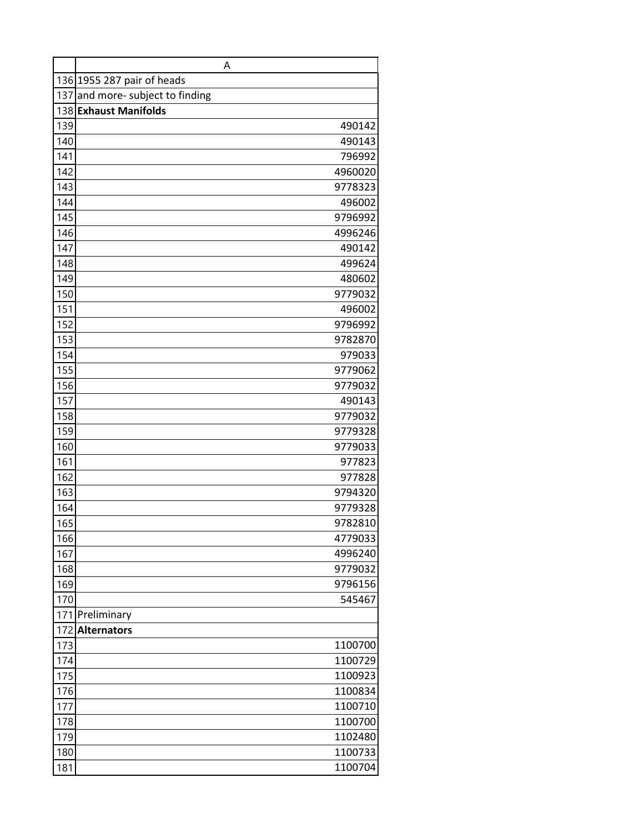|            | Α                                |
|------------|----------------------------------|
|            | 136 1955 287 pair of heads       |
|            | 137 and more- subject to finding |
|            | 138 Exhaust Manifolds            |
| 139        | 490142                           |
| 140        | 490143                           |
| 141        | 796992                           |
| 142        | 4960020                          |
| 143        | 9778323                          |
| 144        | 496002                           |
| 145        | 9796992                          |
| 146        | 4996246                          |
| 147        | 490142                           |
| 148        | 499624                           |
| 149        | 480602                           |
| 150        | 9779032                          |
| 151        | 496002                           |
| 152        | 9796992                          |
| 153        | 9782870                          |
| 154        | 979033                           |
| 155        | 9779062                          |
| 156        | 9779032                          |
| 157        | 490143                           |
| 158        | 9779032                          |
| 159<br>160 | 9779328                          |
| 161        | 9779033                          |
| 162        | 977823<br>977828                 |
| 163        | 9794320                          |
| 164        | 9779328                          |
| 165        | 9782810                          |
| 166        | 4779033                          |
| 167        | 4996240                          |
| 168        | 9779032                          |
| 169        | 9796156                          |
| 170        | 545467                           |
|            | 171 Preliminary                  |
| 172        | <b>Alternators</b>               |
| 173        | 1100700                          |
| 174        | 1100729                          |
| 175        | 1100923                          |
| 176        | 1100834                          |
| 177        | 1100710                          |
| 178        | 1100700                          |
| 179        | 1102480                          |
| 180        | 1100733                          |
| 181        | 1100704                          |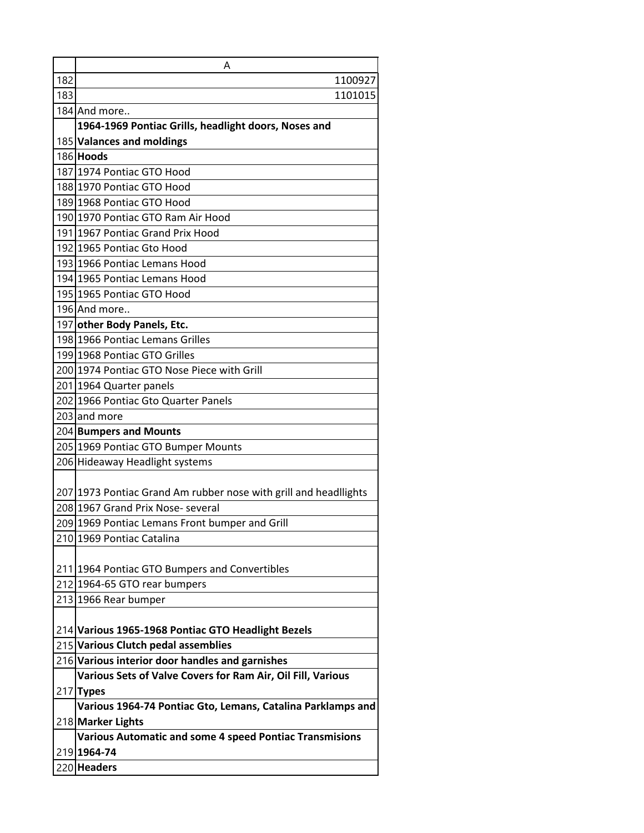| 182 | Α<br>1100927                                                                  |
|-----|-------------------------------------------------------------------------------|
| 183 | 1101015                                                                       |
|     | 184 And more                                                                  |
|     | 1964-1969 Pontiac Grills, headlight doors, Noses and                          |
|     | 185 Valances and moldings                                                     |
|     | 186 Hoods                                                                     |
|     | 187 1974 Pontiac GTO Hood                                                     |
|     | 188 1970 Pontiac GTO Hood                                                     |
|     | 189 1968 Pontiac GTO Hood                                                     |
|     | 190 1970 Pontiac GTO Ram Air Hood                                             |
|     | 191 1967 Pontiac Grand Prix Hood                                              |
|     | 192 1965 Pontiac Gto Hood                                                     |
|     | 193 1966 Pontiac Lemans Hood                                                  |
|     | 194 1965 Pontiac Lemans Hood                                                  |
|     | 195 1965 Pontiac GTO Hood                                                     |
|     | 196 And more                                                                  |
|     | 197 other Body Panels, Etc.                                                   |
|     | 198 1966 Pontiac Lemans Grilles                                               |
|     | 199 1968 Pontiac GTO Grilles                                                  |
|     | 200 1974 Pontiac GTO Nose Piece with Grill                                    |
|     | 201 1964 Quarter panels                                                       |
|     | 202 1966 Pontiac Gto Quarter Panels                                           |
|     | 203 and more                                                                  |
|     | 204 Bumpers and Mounts                                                        |
|     | 205 1969 Pontiac GTO Bumper Mounts                                            |
|     | 206 Hideaway Headlight systems                                                |
|     |                                                                               |
|     | 207 1973 Pontiac Grand Am rubber nose with grill and headllights              |
|     | 208 1967 Grand Prix Nose- several                                             |
|     | 209 1969 Pontiac Lemans Front bumper and Grill                                |
|     | 210 1969 Pontiac Catalina                                                     |
|     |                                                                               |
|     | 211 1964 Pontiac GTO Bumpers and Convertibles<br>212 1964-65 GTO rear bumpers |
|     | 213 1966 Rear bumper                                                          |
|     |                                                                               |
|     | 214 Various 1965-1968 Pontiac GTO Headlight Bezels                            |
|     | 215 Various Clutch pedal assemblies                                           |
|     | 216 Various interior door handles and garnishes                               |
|     | Various Sets of Valve Covers for Ram Air, Oil Fill, Various                   |
|     | $217$ Types                                                                   |
|     | Various 1964-74 Pontiac Gto, Lemans, Catalina Parklamps and                   |
|     | 218 Marker Lights                                                             |
|     | <b>Various Automatic and some 4 speed Pontiac Transmisions</b>                |
|     | 219 1964-74                                                                   |
|     | 220 Headers                                                                   |
|     |                                                                               |